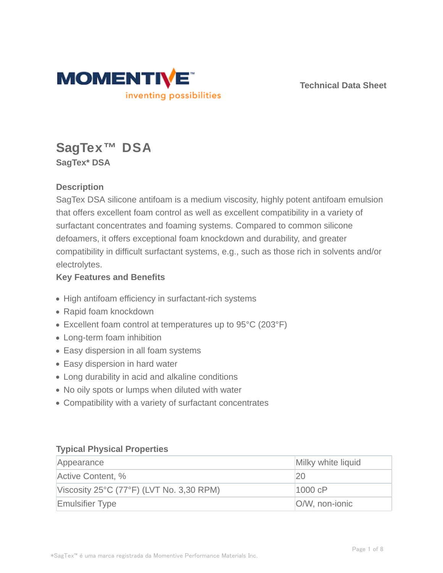

**Technical Data Sheet**

# **SagTex™ DSA SagTex\* DSA**

## **Description**

SagTex DSA silicone antifoam is a medium viscosity, highly potent antifoam emulsion that offers excellent foam control as well as excellent compatibility in a variety of surfactant concentrates and foaming systems. Compared to common silicone defoamers, it offers exceptional foam knockdown and durability, and greater compatibility in difficult surfactant systems, e.g., such as those rich in solvents and/or electrolytes.

#### **Key Features and Benefits**

- High antifoam efficiency in surfactant-rich systems
- Rapid foam knockdown
- Excellent foam control at temperatures up to 95°C (203°F)
- Long-term foam inhibition
- Easy dispersion in all foam systems
- Easy dispersion in hard water
- Long durability in acid and alkaline conditions
- No oily spots or lumps when diluted with water
- Compatibility with a variety of surfactant concentrates

#### **Typical Physical Properties**

| Appearance                               | Milky white liquid |
|------------------------------------------|--------------------|
| Active Content, %                        | 20                 |
| Viscosity 25°C (77°F) (LVT No. 3,30 RPM) | 1000 cP            |
| <b>Emulsifier Type</b>                   | O/W, non-ionic     |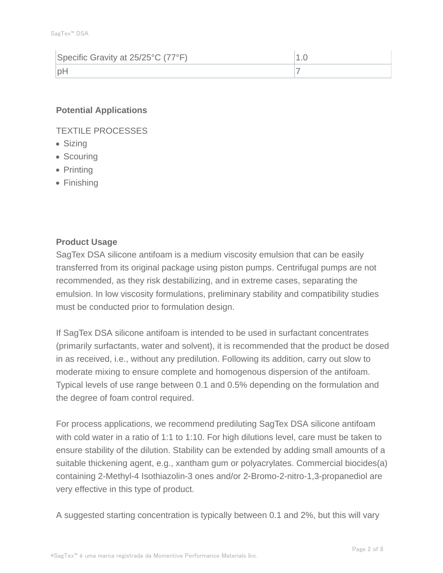| Specific Gravity at 25/25°C (77°F) |  |
|------------------------------------|--|
| nF                                 |  |

#### **Potential Applications**

TEXTILE PROCESSES

- Sizing
- Scouring
- Printing
- Finishing

#### **Product Usage**

SagTex DSA silicone antifoam is a medium viscosity emulsion that can be easily transferred from its original package using piston pumps. Centrifugal pumps are not recommended, as they risk destabilizing, and in extreme cases, separating the emulsion. In low viscosity formulations, preliminary stability and compatibility studies must be conducted prior to formulation design.

If SagTex DSA silicone antifoam is intended to be used in surfactant concentrates (primarily surfactants, water and solvent), it is recommended that the product be dosed in as received, i.e., without any predilution. Following its addition, carry out slow to moderate mixing to ensure complete and homogenous dispersion of the antifoam. Typical levels of use range between 0.1 and 0.5% depending on the formulation and the degree of foam control required.

For process applications, we recommend prediluting SagTex DSA silicone antifoam with cold water in a ratio of 1:1 to 1:10. For high dilutions level, care must be taken to ensure stability of the dilution. Stability can be extended by adding small amounts of a suitable thickening agent, e.g., xantham gum or polyacrylates. Commercial biocides(a) containing 2-Methyl-4 Isothiazolin-3 ones and/or 2-Bromo-2-nitro-1,3-propanediol are very effective in this type of product.

A suggested starting concentration is typically between 0.1 and 2%, but this will vary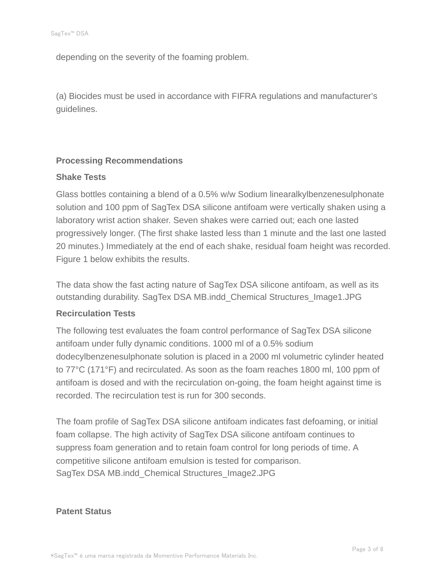depending on the severity of the foaming problem.

(a) Biocides must be used in accordance with FIFRA regulations and manufacturer's guidelines.

#### **Processing Recommendations**

#### **Shake Tests**

Glass bottles containing a blend of a 0.5% w/w Sodium linearalkylbenzenesulphonate solution and 100 ppm of SagTex DSA silicone antifoam were vertically shaken using a laboratory wrist action shaker. Seven shakes were carried out; each one lasted progressively longer. (The first shake lasted less than 1 minute and the last one lasted 20 minutes.) Immediately at the end of each shake, residual foam height was recorded. Figure 1 below exhibits the results.

The data show the fast acting nature of SagTex DSA silicone antifoam, as well as its outstanding durability. SagTex DSA MB.indd\_Chemical Structures\_Image1.JPG

#### **Recirculation Tests**

The following test evaluates the foam control performance of SagTex DSA silicone antifoam under fully dynamic conditions. 1000 ml of a 0.5% sodium dodecylbenzenesulphonate solution is placed in a 2000 ml volumetric cylinder heated to 77°C (171°F) and recirculated. As soon as the foam reaches 1800 ml, 100 ppm of antifoam is dosed and with the recirculation on-going, the foam height against time is recorded. The recirculation test is run for 300 seconds.

The foam profile of SagTex DSA silicone antifoam indicates fast defoaming, or initial foam collapse. The high activity of SagTex DSA silicone antifoam continues to suppress foam generation and to retain foam control for long periods of time. A competitive silicone antifoam emulsion is tested for comparison. SagTex DSA MB.indd\_Chemical Structures\_Image2.JPG

#### **Patent Status**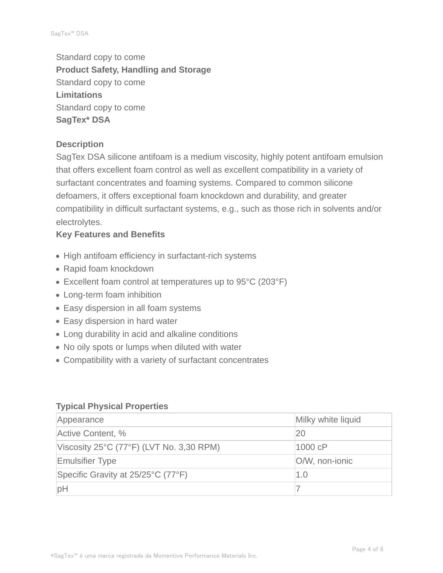Standard copy to come **Product Safety, Handling and Storage** Standard copy to come **Limitations** Standard copy to come **SagTex\* DSA**

#### **Description**

SagTex DSA silicone antifoam is a medium viscosity, highly potent antifoam emulsion that offers excellent foam control as well as excellent compatibility in a variety of surfactant concentrates and foaming systems. Compared to common silicone defoamers, it offers exceptional foam knockdown and durability, and greater compatibility in difficult surfactant systems, e.g., such as those rich in solvents and/or electrolytes.

#### **Key Features and Benefits**

- High antifoam efficiency in surfactant-rich systems
- Rapid foam knockdown
- Excellent foam control at temperatures up to 95°C (203°F)
- Long-term foam inhibition
- Easy dispersion in all foam systems
- Easy dispersion in hard water
- Long durability in acid and alkaline conditions
- No oily spots or lumps when diluted with water
- Compatibility with a variety of surfactant concentrates

#### **Typical Physical Properties**

| Appearance                                                    | Milky white liquid |  |
|---------------------------------------------------------------|--------------------|--|
| Active Content, %                                             | 20                 |  |
| Viscosity $25^{\circ}$ C (77 $^{\circ}$ F) (LVT No. 3,30 RPM) | 1000 cP            |  |
| <b>Emulsifier Type</b>                                        | O/W, non-ionic     |  |
| Specific Gravity at 25/25°C (77°F)                            | 1.0                |  |
| pH                                                            |                    |  |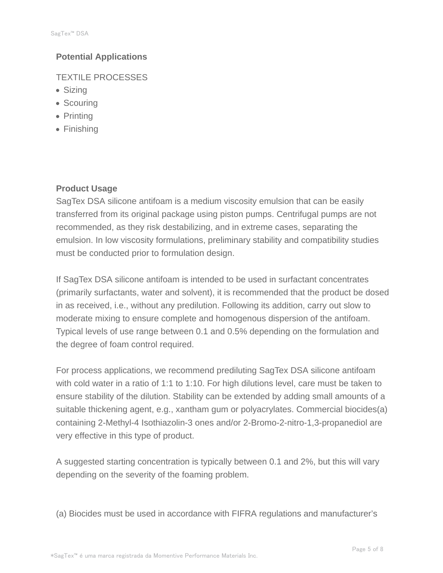## **Potential Applications**

TEXTILE PROCESSES

- Sizing
- Scouring
- Printing
- Finishing

### **Product Usage**

SagTex DSA silicone antifoam is a medium viscosity emulsion that can be easily transferred from its original package using piston pumps. Centrifugal pumps are not recommended, as they risk destabilizing, and in extreme cases, separating the emulsion. In low viscosity formulations, preliminary stability and compatibility studies must be conducted prior to formulation design.

If SagTex DSA silicone antifoam is intended to be used in surfactant concentrates (primarily surfactants, water and solvent), it is recommended that the product be dosed in as received, i.e., without any predilution. Following its addition, carry out slow to moderate mixing to ensure complete and homogenous dispersion of the antifoam. Typical levels of use range between 0.1 and 0.5% depending on the formulation and the degree of foam control required.

For process applications, we recommend prediluting SagTex DSA silicone antifoam with cold water in a ratio of 1:1 to 1:10. For high dilutions level, care must be taken to ensure stability of the dilution. Stability can be extended by adding small amounts of a suitable thickening agent, e.g., xantham gum or polyacrylates. Commercial biocides(a) containing 2-Methyl-4 Isothiazolin-3 ones and/or 2-Bromo-2-nitro-1,3-propanediol are very effective in this type of product.

A suggested starting concentration is typically between 0.1 and 2%, but this will vary depending on the severity of the foaming problem.

(a) Biocides must be used in accordance with FIFRA regulations and manufacturer's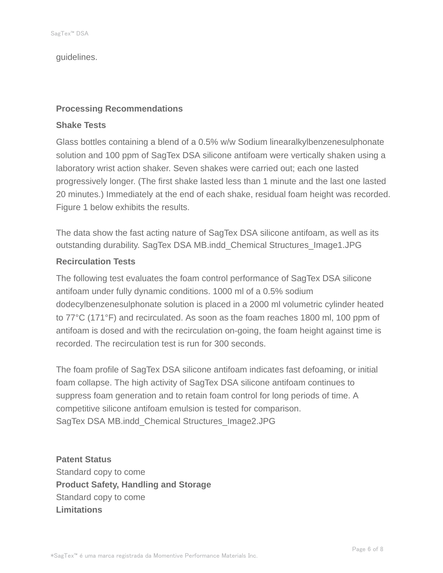guidelines.

#### **Processing Recommendations**

#### **Shake Tests**

Glass bottles containing a blend of a 0.5% w/w Sodium linearalkylbenzenesulphonate solution and 100 ppm of SagTex DSA silicone antifoam were vertically shaken using a laboratory wrist action shaker. Seven shakes were carried out; each one lasted progressively longer. (The first shake lasted less than 1 minute and the last one lasted 20 minutes.) Immediately at the end of each shake, residual foam height was recorded. Figure 1 below exhibits the results.

The data show the fast acting nature of SagTex DSA silicone antifoam, as well as its outstanding durability. SagTex DSA MB.indd\_Chemical Structures\_Image1.JPG

#### **Recirculation Tests**

The following test evaluates the foam control performance of SagTex DSA silicone antifoam under fully dynamic conditions. 1000 ml of a 0.5% sodium dodecylbenzenesulphonate solution is placed in a 2000 ml volumetric cylinder heated to 77°C (171°F) and recirculated. As soon as the foam reaches 1800 ml, 100 ppm of antifoam is dosed and with the recirculation on-going, the foam height against time is recorded. The recirculation test is run for 300 seconds.

The foam profile of SagTex DSA silicone antifoam indicates fast defoaming, or initial foam collapse. The high activity of SagTex DSA silicone antifoam continues to suppress foam generation and to retain foam control for long periods of time. A competitive silicone antifoam emulsion is tested for comparison. SagTex DSA MB.indd\_Chemical Structures\_Image2.JPG

**Patent Status** Standard copy to come **Product Safety, Handling and Storage** Standard copy to come **Limitations**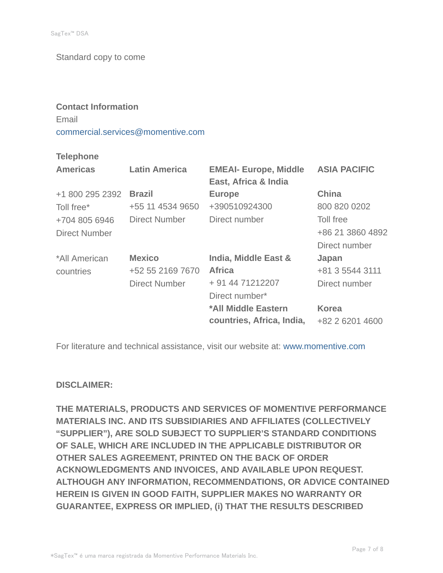Standard copy to come

## **Contact Information** Email commercial.services@momentive.com

#### **Telephone**

| <b>Americas</b>      | <b>Latin America</b> | <b>EMEAI- Europe, Middle</b><br>East, Africa & India | <b>ASIA PACIFIC</b> |
|----------------------|----------------------|------------------------------------------------------|---------------------|
| +1 800 295 2392      | <b>Brazil</b>        | <b>Europe</b>                                        | <b>China</b>        |
| Toll free*           | +55 11 4534 9650     | +390510924300                                        | 800 820 0202        |
| +704 805 6946        | Direct Number        | Direct number                                        | Toll free           |
| <b>Direct Number</b> |                      |                                                      | +86 21 3860 4892    |
|                      |                      |                                                      | Direct number       |
| *All American        | <b>Mexico</b>        | India, Middle East &                                 | Japan               |
| countries            | +52 55 2169 7670     | <b>Africa</b>                                        | +81 3 5544 3111     |
|                      | <b>Direct Number</b> | + 91 44 71212207                                     | Direct number       |
|                      |                      | Direct number*                                       |                     |
|                      |                      | *All Middle Eastern                                  | <b>Korea</b>        |
|                      |                      | countries, Africa, India,                            | +82 2 6201 4600     |

For literature and technical assistance, visit our website at: www.momentive.com

#### **DISCLAIMER:**

**THE MATERIALS, PRODUCTS AND SERVICES OF MOMENTIVE PERFORMANCE MATERIALS INC. AND ITS SUBSIDIARIES AND AFFILIATES (COLLECTIVELY "SUPPLIER"), ARE SOLD SUBJECT TO SUPPLIER'S STANDARD CONDITIONS OF SALE, WHICH ARE INCLUDED IN THE APPLICABLE DISTRIBUTOR OR OTHER SALES AGREEMENT, PRINTED ON THE BACK OF ORDER ACKNOWLEDGMENTS AND INVOICES, AND AVAILABLE UPON REQUEST. ALTHOUGH ANY INFORMATION, RECOMMENDATIONS, OR ADVICE CONTAINED HEREIN IS GIVEN IN GOOD FAITH, SUPPLIER MAKES NO WARRANTY OR GUARANTEE, EXPRESS OR IMPLIED, (i) THAT THE RESULTS DESCRIBED**